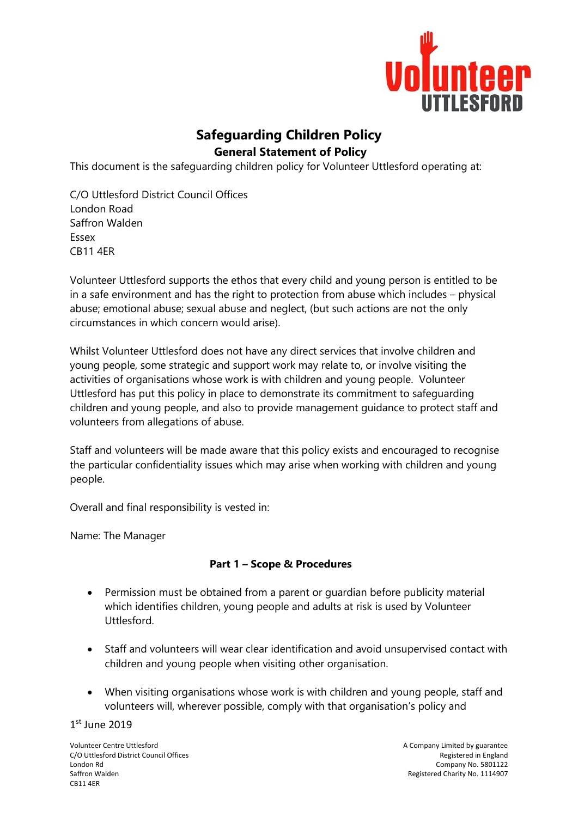

## **Safeguarding Children Policy General Statement of Policy**

This document is the safeguarding children policy for Volunteer Uttlesford operating at:

C/O Uttlesford District Council Offices London Road Saffron Walden Essex CB11 4ER

Volunteer Uttlesford supports the ethos that every child and young person is entitled to be in a safe environment and has the right to protection from abuse which includes – physical abuse; emotional abuse; sexual abuse and neglect, (but such actions are not the only circumstances in which concern would arise).

Whilst Volunteer Uttlesford does not have any direct services that involve children and young people, some strategic and support work may relate to, or involve visiting the activities of organisations whose work is with children and young people. Volunteer Uttlesford has put this policy in place to demonstrate its commitment to safeguarding children and young people, and also to provide management guidance to protect staff and volunteers from allegations of abuse.

Staff and volunteers will be made aware that this policy exists and encouraged to recognise the particular confidentiality issues which may arise when working with children and young people.

Overall and final responsibility is vested in:

Name: The Manager

## **Part 1 – Scope & Procedures**

- Permission must be obtained from a parent or guardian before publicity material which identifies children, young people and adults at risk is used by Volunteer Uttlesford.
- Staff and volunteers will wear clear identification and avoid unsupervised contact with children and young people when visiting other organisation.
- When visiting organisations whose work is with children and young people, staff and volunteers will, wherever possible, comply with that organisation's policy and

1 st June 2019

Volunteer Centre Uttlesford<br>C/O Uttlesford District Council Offices and the state of the state of the state of the Security of the Securit<br>Registered in England C/O Uttlesford District Council Offices London Rd Company No. 5801122 CB11 4ER